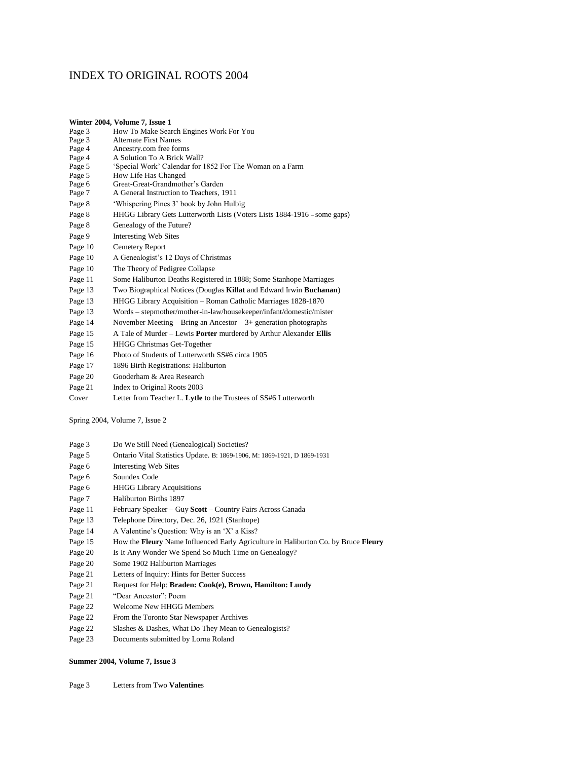## INDEX TO ORIGINAL ROOTS 2004

|         | Winter 2004, Volume 7, Issue 1                                              |
|---------|-----------------------------------------------------------------------------|
| Page 3  | How To Make Search Engines Work For You                                     |
| Page 3  | <b>Alternate First Names</b>                                                |
| Page 4  | Ancestry.com free forms                                                     |
| Page 4  | A Solution To A Brick Wall?                                                 |
| Page 5  | 'Special Work' Calendar for 1852 For The Woman on a Farm                    |
| Page 5  | How Life Has Changed                                                        |
| Page 6  | Great-Great-Grandmother's Garden<br>A General Instruction to Teachers, 1911 |
| Page 7  |                                                                             |
| Page 8  | 'Whispering Pines 3' book by John Hulbig                                    |
| Page 8  | HHGG Library Gets Lutterworth Lists (Voters Lists 1884-1916 – some gaps)    |
| Page 8  | Genealogy of the Future?                                                    |
| Page 9  | <b>Interesting Web Sites</b>                                                |
| Page 10 | Cemetery Report                                                             |
| Page 10 | A Genealogist's 12 Days of Christmas                                        |
| Page 10 | The Theory of Pedigree Collapse                                             |
| Page 11 | Some Haliburton Deaths Registered in 1888; Some Stanhope Marriages          |
| Page 13 | Two Biographical Notices (Douglas Killat and Edward Irwin Buchanan)         |
| Page 13 | HHGG Library Acquisition - Roman Catholic Marriages 1828-1870               |
| Page 13 | Words – stepmother/mother-in-law/housekeeper/infant/domestic/mister         |
| Page 14 | November Meeting – Bring an Ancestor – $3+$ generation photographs          |
| Page 15 | A Tale of Murder - Lewis Porter murdered by Arthur Alexander Ellis          |
| Page 15 | <b>HHGG Christmas Get-Together</b>                                          |
| Page 16 | Photo of Students of Lutterworth SS#6 circa 1905                            |
| Page 17 | 1896 Birth Registrations: Haliburton                                        |
| Page 20 | Gooderham & Area Research                                                   |
| Page 21 | Index to Original Roots 2003                                                |
| Cover   | Letter from Teacher L. Lytle to the Trustees of SS#6 Lutterworth            |
|         |                                                                             |

Spring 2004, Volume 7, Issue 2

- Page 3 Do We Still Need (Genealogical) Societies?
- Page 5 Ontario Vital Statistics Update. B: 1869-1906, M: 1869-1921, D 1869-1931
- Page 6 Interesting Web Sites
- Page 6 Soundex Code
- Page 6 HHGG Library Acquisitions
- Page 7 Haliburton Births 1897
- Page 11 February Speaker Guy **Scott** Country Fairs Across Canada
- Page 13 Telephone Directory, Dec. 26, 1921 (Stanhope)
- Page 14 A Valentine's Question: Why is an 'X' a Kiss?
- Page 15 How the **Fleury** Name Influenced Early Agriculture in Haliburton Co. by Bruce **Fleury**
- Page 20 Is It Any Wonder We Spend So Much Time on Genealogy?
- Page 20 Some 1902 Haliburton Marriages
- Page 21 Letters of Inquiry: Hints for Better Success
- Page 21 Request for Help: **Braden: Cook(e), Brown, Hamilton: Lundy**
- Page 21 "Dear Ancestor": Poem
- Page 22 Welcome New HHGG Members
- Page 22 From the Toronto Star Newspaper Archives
- Page 22 Slashes & Dashes, What Do They Mean to Genealogists?
- Page 23 Documents submitted by Lorna Roland

## **Summer 2004, Volume 7, Issue 3**

Page 3 Letters from Two **Valentine**s